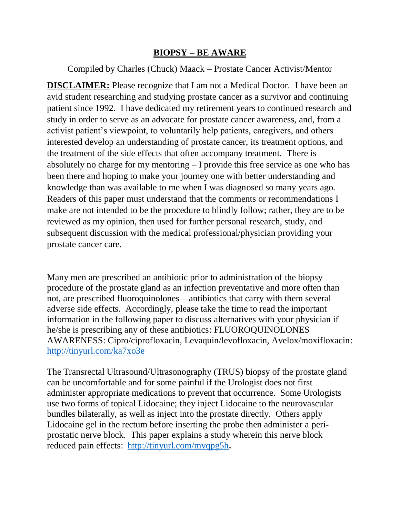## **BIOPSY – BE AWARE**

Compiled by Charles (Chuck) Maack – Prostate Cancer Activist/Mentor

**DISCLAIMER:** Please recognize that I am not a Medical Doctor. I have been an avid student researching and studying prostate cancer as a survivor and continuing patient since 1992. I have dedicated my retirement years to continued research and study in order to serve as an advocate for prostate cancer awareness, and, from a activist patient's viewpoint, to voluntarily help patients, caregivers, and others interested develop an understanding of prostate cancer, its treatment options, and the treatment of the side effects that often accompany treatment. There is absolutely no charge for my mentoring – I provide this free service as one who has been there and hoping to make your journey one with better understanding and knowledge than was available to me when I was diagnosed so many years ago. Readers of this paper must understand that the comments or recommendations I make are not intended to be the procedure to blindly follow; rather, they are to be reviewed as my opinion, then used for further personal research, study, and subsequent discussion with the medical professional/physician providing your prostate cancer care.

Many men are prescribed an antibiotic prior to administration of the biopsy procedure of the prostate gland as an infection preventative and more often than not, are prescribed fluoroquinolones – antibiotics that carry with them several adverse side effects. Accordingly, please take the time to read the important information in the following paper to discuss alternatives with your physician if he/she is prescribing any of these antibiotics: FLUOROQUINOLONES AWARENESS: Cipro/ciprofloxacin, Levaquin/levofloxacin, Avelox/moxifloxacin: <http://tinyurl.com/ka7xo3e>

The Transrectal Ultrasound/Ultrasonography (TRUS) biopsy of the prostate gland can be uncomfortable and for some painful if the Urologist does not first administer appropriate medications to prevent that occurrence. Some Urologists use two forms of topical Lidocaine; they inject Lidocaine to the neurovascular bundles bilaterally, as well as inject into the prostate directly. Others apply Lidocaine gel in the rectum before inserting the probe then administer a periprostatic nerve block. This paper explains a study wherein this nerve block reduced pain effects: <http://tinyurl.com/mvqpg5h>**.**